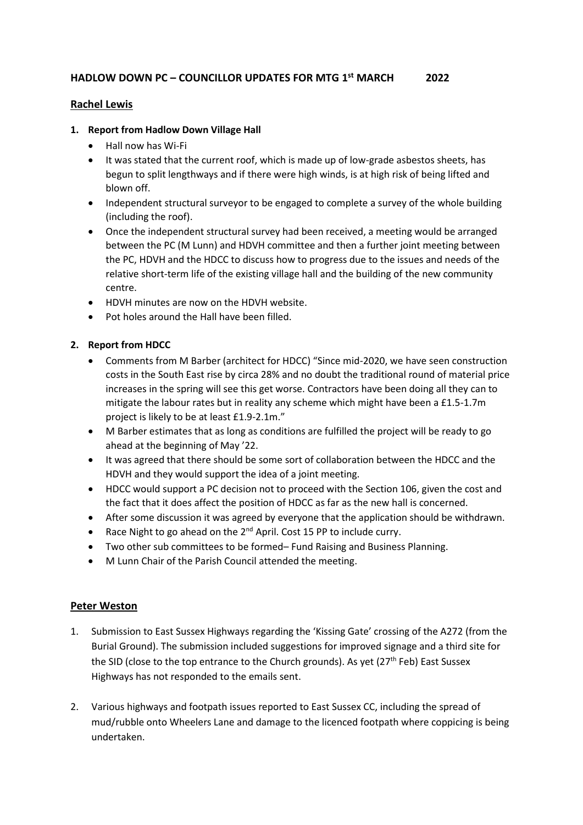## **Rachel Lewis**

## **1. Report from Hadlow Down Village Hall**

- Hall now has Wi-Fi
- It was stated that the current roof, which is made up of low-grade asbestos sheets, has begun to split lengthways and if there were high winds, is at high risk of being lifted and blown off.
- Independent structural surveyor to be engaged to complete a survey of the whole building (including the roof).
- Once the independent structural survey had been received, a meeting would be arranged between the PC (M Lunn) and HDVH committee and then a further joint meeting between the PC, HDVH and the HDCC to discuss how to progress due to the issues and needs of the relative short-term life of the existing village hall and the building of the new community centre.
- HDVH minutes are now on the HDVH website.
- Pot holes around the Hall have been filled.

## **2. Report from HDCC**

- Comments from M Barber (architect for HDCC) "Since mid-2020, we have seen construction costs in the South East rise by circa 28% and no doubt the traditional round of material price increases in the spring will see this get worse. Contractors have been doing all they can to mitigate the labour rates but in reality any scheme which might have been a £1.5-1.7m project is likely to be at least £1.9-2.1m."
- M Barber estimates that as long as conditions are fulfilled the project will be ready to go ahead at the beginning of May '22.
- It was agreed that there should be some sort of collaboration between the HDCC and the HDVH and they would support the idea of a joint meeting.
- HDCC would support a PC decision not to proceed with the Section 106, given the cost and the fact that it does affect the position of HDCC as far as the new hall is concerned.
- After some discussion it was agreed by everyone that the application should be withdrawn.
- Race Night to go ahead on the  $2^{nd}$  April. Cost 15 PP to include curry.
- Two other sub committees to be formed– Fund Raising and Business Planning.
- M Lunn Chair of the Parish Council attended the meeting.

### **Peter Weston**

- 1. Submission to East Sussex Highways regarding the 'Kissing Gate' crossing of the A272 (from the Burial Ground). The submission included suggestions for improved signage and a third site for the SID (close to the top entrance to the Church grounds). As yet ( $27<sup>th</sup>$  Feb) East Sussex Highways has not responded to the emails sent.
- 2. Various highways and footpath issues reported to East Sussex CC, including the spread of mud/rubble onto Wheelers Lane and damage to the licenced footpath where coppicing is being undertaken.